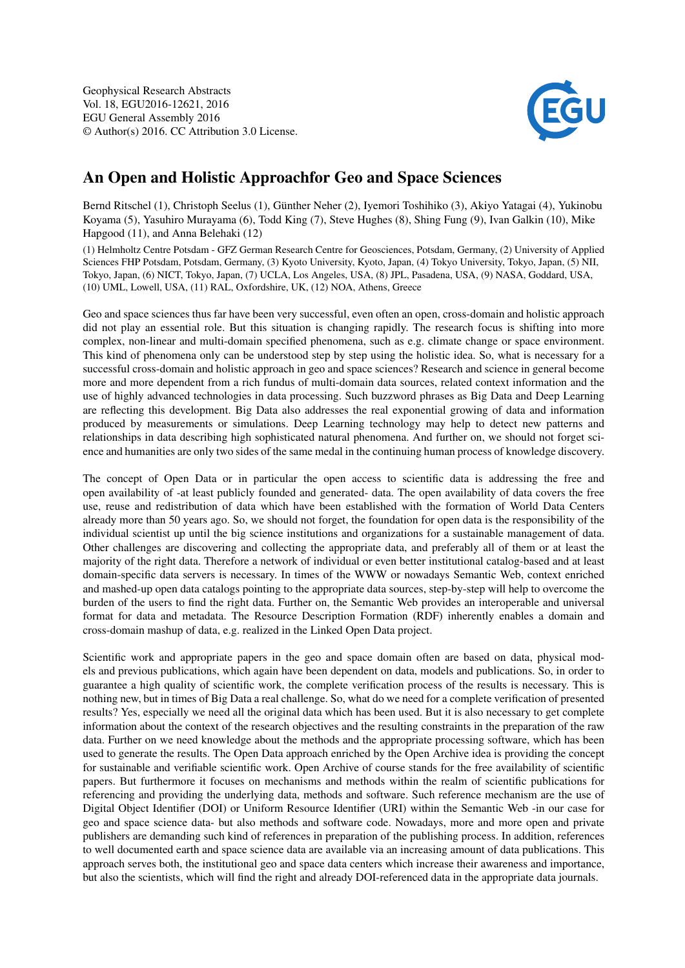

## An Open and Holistic Approachfor Geo and Space Sciences

Bernd Ritschel (1), Christoph Seelus (1), Günther Neher (2), Iyemori Toshihiko (3), Akiyo Yatagai (4), Yukinobu Koyama (5), Yasuhiro Murayama (6), Todd King (7), Steve Hughes (8), Shing Fung (9), Ivan Galkin (10), Mike Hapgood (11), and Anna Belehaki (12)

(1) Helmholtz Centre Potsdam - GFZ German Research Centre for Geosciences, Potsdam, Germany, (2) University of Applied Sciences FHP Potsdam, Potsdam, Germany, (3) Kyoto University, Kyoto, Japan, (4) Tokyo University, Tokyo, Japan, (5) NII, Tokyo, Japan, (6) NICT, Tokyo, Japan, (7) UCLA, Los Angeles, USA, (8) JPL, Pasadena, USA, (9) NASA, Goddard, USA, (10) UML, Lowell, USA, (11) RAL, Oxfordshire, UK, (12) NOA, Athens, Greece

Geo and space sciences thus far have been very successful, even often an open, cross-domain and holistic approach did not play an essential role. But this situation is changing rapidly. The research focus is shifting into more complex, non-linear and multi-domain specified phenomena, such as e.g. climate change or space environment. This kind of phenomena only can be understood step by step using the holistic idea. So, what is necessary for a successful cross-domain and holistic approach in geo and space sciences? Research and science in general become more and more dependent from a rich fundus of multi-domain data sources, related context information and the use of highly advanced technologies in data processing. Such buzzword phrases as Big Data and Deep Learning are reflecting this development. Big Data also addresses the real exponential growing of data and information produced by measurements or simulations. Deep Learning technology may help to detect new patterns and relationships in data describing high sophisticated natural phenomena. And further on, we should not forget science and humanities are only two sides of the same medal in the continuing human process of knowledge discovery.

The concept of Open Data or in particular the open access to scientific data is addressing the free and open availability of -at least publicly founded and generated- data. The open availability of data covers the free use, reuse and redistribution of data which have been established with the formation of World Data Centers already more than 50 years ago. So, we should not forget, the foundation for open data is the responsibility of the individual scientist up until the big science institutions and organizations for a sustainable management of data. Other challenges are discovering and collecting the appropriate data, and preferably all of them or at least the majority of the right data. Therefore a network of individual or even better institutional catalog-based and at least domain-specific data servers is necessary. In times of the WWW or nowadays Semantic Web, context enriched and mashed-up open data catalogs pointing to the appropriate data sources, step-by-step will help to overcome the burden of the users to find the right data. Further on, the Semantic Web provides an interoperable and universal format for data and metadata. The Resource Description Formation (RDF) inherently enables a domain and cross-domain mashup of data, e.g. realized in the Linked Open Data project.

Scientific work and appropriate papers in the geo and space domain often are based on data, physical models and previous publications, which again have been dependent on data, models and publications. So, in order to guarantee a high quality of scientific work, the complete verification process of the results is necessary. This is nothing new, but in times of Big Data a real challenge. So, what do we need for a complete verification of presented results? Yes, especially we need all the original data which has been used. But it is also necessary to get complete information about the context of the research objectives and the resulting constraints in the preparation of the raw data. Further on we need knowledge about the methods and the appropriate processing software, which has been used to generate the results. The Open Data approach enriched by the Open Archive idea is providing the concept for sustainable and verifiable scientific work. Open Archive of course stands for the free availability of scientific papers. But furthermore it focuses on mechanisms and methods within the realm of scientific publications for referencing and providing the underlying data, methods and software. Such reference mechanism are the use of Digital Object Identifier (DOI) or Uniform Resource Identifier (URI) within the Semantic Web -in our case for geo and space science data- but also methods and software code. Nowadays, more and more open and private publishers are demanding such kind of references in preparation of the publishing process. In addition, references to well documented earth and space science data are available via an increasing amount of data publications. This approach serves both, the institutional geo and space data centers which increase their awareness and importance, but also the scientists, which will find the right and already DOI-referenced data in the appropriate data journals.